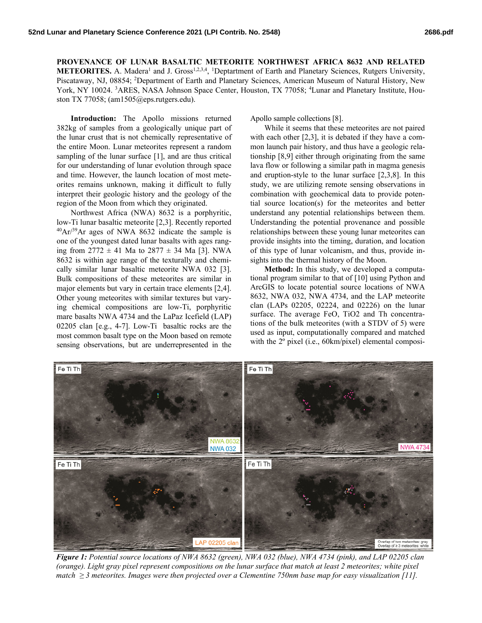**PROVENANCE OF LUNAR BASALTIC METEORITE NORTHWEST AFRICA 8632 AND RELATED METEORITES.** A. Madera<sup>1</sup> and J. Gross<sup>1,2,3,4</sup>, <sup>1</sup>Deptartment of Earth and Planetary Sciences, Rutgers University, Piscataway, NJ, 08854; <sup>2</sup>Department of Earth and Planetary Sciences, American Museum of Natural History, New York, NY 10024. <sup>3</sup>ARES, NASA Johnson Space Center, Houston, TX 77058; <sup>4</sup>Lunar and Planetary Institute, Houston TX 77058; (am1505@eps.rutgers.edu).

**Introduction:** The Apollo missions returned 382kg of samples from a geologically unique part of the lunar crust that is not chemically representative of the entire Moon. Lunar meteorites represent a random sampling of the lunar surface [1], and are thus critical for our understanding of lunar evolution through space and time. However, the launch location of most meteorites remains unknown, making it difficult to fully interpret their geologic history and the geology of the region of the Moon from which they originated.

Northwest Africa (NWA) 8632 is a porphyritic, low-Ti lunar basaltic meteorite [2,3]. Recently reported  $^{40}Ar/^{39}Ar$  ages of NWA 8632 indicate the sample is one of the youngest dated lunar basalts with ages ranging from  $2772 \pm 41$  Ma to  $2877 \pm 34$  Ma [3]. NWA 8632 is within age range of the texturally and chemically similar lunar basaltic meteorite NWA 032 [3]. Bulk compositions of these meteorites are similar in major elements but vary in certain trace elements [2,4]. Other young meteorites with similar textures but varying chemical compositions are low-Ti, porphyritic mare basalts NWA 4734 and the LaPaz Icefield (LAP) 02205 clan [e.g., 4-7]. Low-Ti basaltic rocks are the most common basalt type on the Moon based on remote sensing observations, but are underrepresented in the

Apollo sample collections [8].

While it seems that these meteorites are not paired with each other [2,3], it is debated if they have a common launch pair history, and thus have a geologic relationship [8,9] either through originating from the same lava flow or following a similar path in magma genesis and eruption-style to the lunar surface [2,3,8]. In this study, we are utilizing remote sensing observations in combination with geochemical data to provide potential source location(s) for the meteorites and better understand any potential relationships between them. Understanding the potential provenance and possible relationships between these young lunar meteorites can provide insights into the timing, duration, and location of this type of lunar volcanism, and thus, provide insights into the thermal history of the Moon.

**Method:** In this study, we developed a computational program similar to that of [10] using Python and ArcGIS to locate potential source locations of NWA 8632, NWA 032, NWA 4734, and the LAP meteorite clan (LAPs 02205, 02224, and 02226) on the lunar surface. The average FeO, TiO2 and Th concentrations of the bulk meteorites (with a STDV of 5) were used as input, computationally compared and matched with the 2º pixel (i.e., 60km/pixel) elemental composi-



*Figure 1: Potential source locations of NWA 8632 (green), NWA 032 (blue), NWA 4734 (pink), and LAP 02205 clan (orange). Light gray pixel represent compositions on the lunar surface that match at least 2 meteorites; white pixel match ≥ 3 meteorites. Images were then projected over a Clementine 750nm base map for easy visualization [11].*